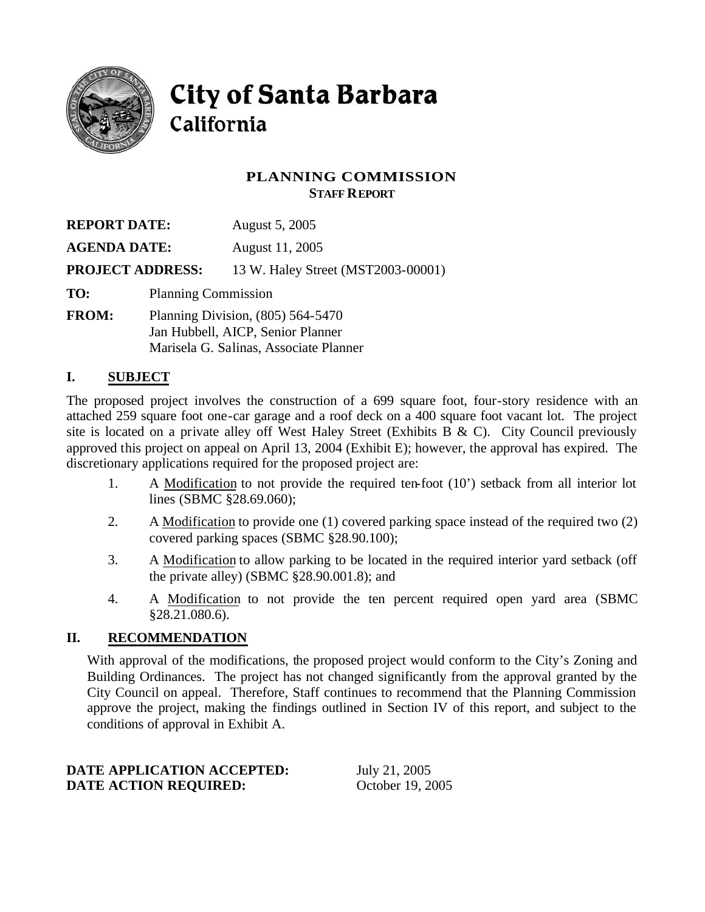

# City of Santa Barbara California

## **PLANNING COMMISSION STAFF REPORT**

| <b>REPORT DATE:</b> |                         | August 5, 2005                     |  |
|---------------------|-------------------------|------------------------------------|--|
| <b>AGENDA DATE:</b> |                         | August 11, 2005                    |  |
|                     | <b>PROJECT ADDRESS:</b> | 13 W. Haley Street (MST2003-00001) |  |
| TO:                 |                         | <b>Planning Commission</b>         |  |
| <b>EDALE</b>        |                         |                                    |  |

**FROM:** Planning Division, (805) 564-5470 Jan Hubbell, AICP, Senior Planner Marisela G. Salinas, Associate Planner

## **I. SUBJECT**

The proposed project involves the construction of a 699 square foot, four-story residence with an attached 259 square foot one-car garage and a roof deck on a 400 square foot vacant lot. The project site is located on a private alley off West Haley Street (Exhibits B & C). City Council previously approved this project on appeal on April 13, 2004 (Exhibit E); however, the approval has expired. The discretionary applications required for the proposed project are:

- 1. A Modification to not provide the required ten-foot (10') setback from all interior lot lines (SBMC §28.69.060);
- 2. A Modification to provide one (1) covered parking space instead of the required two (2) covered parking spaces (SBMC §28.90.100);
- 3. A Modification to allow parking to be located in the required interior yard setback (off the private alley) (SBMC §28.90.001.8); and
- 4. A Modification to not provide the ten percent required open yard area (SBMC §28.21.080.6).

### **II. RECOMMENDATION**

With approval of the modifications, the proposed project would conform to the City's Zoning and Building Ordinances. The project has not changed significantly from the approval granted by the City Council on appeal. Therefore, Staff continues to recommend that the Planning Commission approve the project, making the findings outlined in Section IV of this report, and subject to the conditions of approval in Exhibit A.

#### **DATE APPLICATION ACCEPTED:** July 21, 2005 **DATE ACTION REQUIRED:** October 19, 2005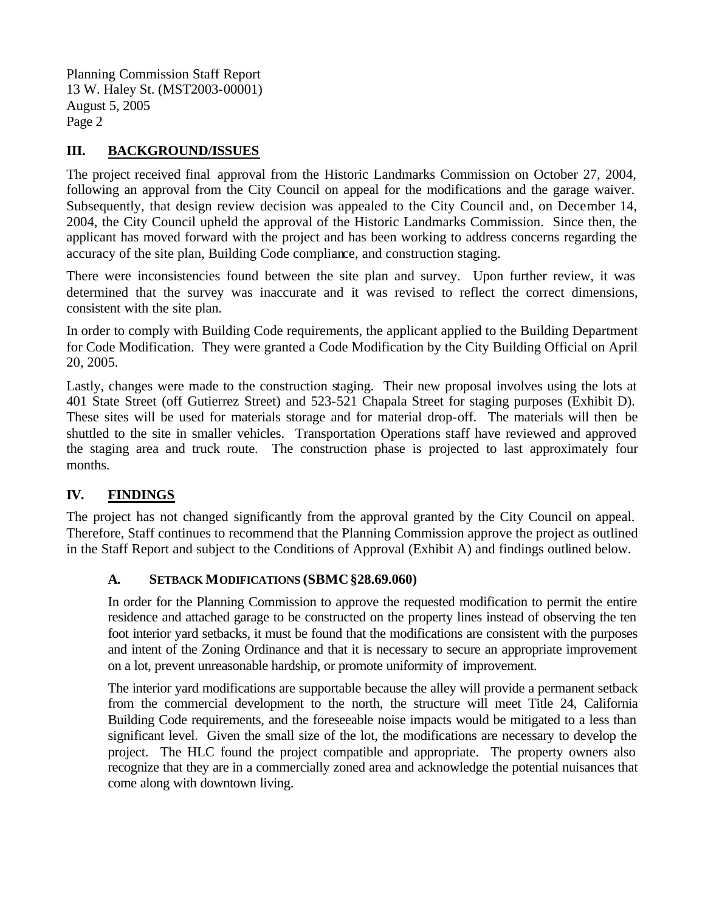Planning Commission Staff Report 13 W. Haley St. (MST2003-00001) August 5, 2005 Page 2

## **III. BACKGROUND/ISSUES**

The project received final approval from the Historic Landmarks Commission on October 27, 2004, following an approval from the City Council on appeal for the modifications and the garage waiver. Subsequently, that design review decision was appealed to the City Council and, on December 14, 2004, the City Council upheld the approval of the Historic Landmarks Commission. Since then, the applicant has moved forward with the project and has been working to address concerns regarding the accuracy of the site plan, Building Code compliance, and construction staging.

There were inconsistencies found between the site plan and survey. Upon further review, it was determined that the survey was inaccurate and it was revised to reflect the correct dimensions, consistent with the site plan.

In order to comply with Building Code requirements, the applicant applied to the Building Department for Code Modification. They were granted a Code Modification by the City Building Official on April 20, 2005.

Lastly, changes were made to the construction staging. Their new proposal involves using the lots at 401 State Street (off Gutierrez Street) and 523-521 Chapala Street for staging purposes (Exhibit D). These sites will be used for materials storage and for material drop-off. The materials will then be shuttled to the site in smaller vehicles. Transportation Operations staff have reviewed and approved the staging area and truck route. The construction phase is projected to last approximately four months.

# **IV. FINDINGS**

The project has not changed significantly from the approval granted by the City Council on appeal. Therefore, Staff continues to recommend that the Planning Commission approve the project as outlined in the Staff Report and subject to the Conditions of Approval (Exhibit A) and findings outlined below.

### **A. SETBACK MODIFICATIONS (SBMC§28.69.060)**

In order for the Planning Commission to approve the requested modification to permit the entire residence and attached garage to be constructed on the property lines instead of observing the ten foot interior yard setbacks, it must be found that the modifications are consistent with the purposes and intent of the Zoning Ordinance and that it is necessary to secure an appropriate improvement on a lot, prevent unreasonable hardship, or promote uniformity of improvement.

The interior yard modifications are supportable because the alley will provide a permanent setback from the commercial development to the north, the structure will meet Title 24, California Building Code requirements, and the foreseeable noise impacts would be mitigated to a less than significant level. Given the small size of the lot, the modifications are necessary to develop the project. The HLC found the project compatible and appropriate. The property owners also recognize that they are in a commercially zoned area and acknowledge the potential nuisances that come along with downtown living.